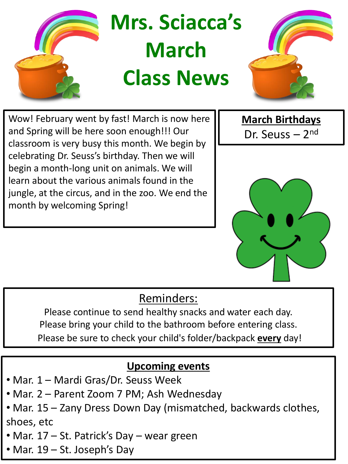

Wow! February went by fast! March is now here and Spring will be here soon enough!!! Our classroom is very busy this month. We begin by celebrating Dr. Seuss's birthday. Then we will begin a month-long unit on animals. We will learn about the various animals found in the jungle, at the circus, and in the zoo. We end the month by welcoming Spring!

**March Birthdays** Dr. Seuss – 2<sup>nd</sup>



## Reminders:

Please continue to send healthy snacks and water each day. Please bring your child to the bathroom before entering class. Please be sure to check your child's folder/backpack **every** day!

## **Upcoming events**

- Mar. 1 Mardi Gras/Dr. Seuss Week
- Mar. 2 Parent Zoom 7 PM; Ash Wednesday
- Mar. 15 Zany Dress Down Day (mismatched, backwards clothes, shoes, etc
- Mar. 17 St. Patrick's Day wear green
- Mar. 19 St. Joseph's Day